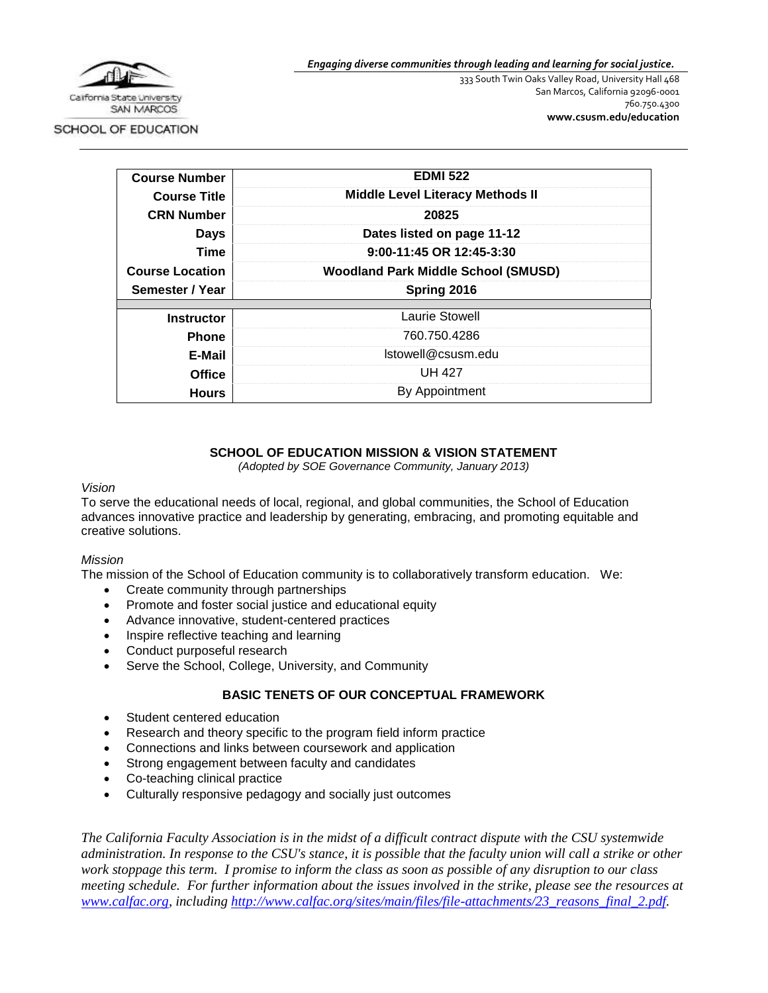

*Engaging diverse communities through leading and learning for social justice.*

333 South Twin Oaks Valley Road, University Hall 468 San Marcos, California 92096-0001 760.750.4300 **[www.csusm.edu/education](http://www.csusm.edu/education)**

SCHOOL OF EDUCATION

| <b>Course Number</b>   | <b>EDMI 522</b>                            |
|------------------------|--------------------------------------------|
| <b>Course Title</b>    | <b>Middle Level Literacy Methods II</b>    |
| <b>CRN Number</b>      | 20825                                      |
| <b>Days</b>            | Dates listed on page 11-12                 |
| <b>Time</b>            | 9:00-11:45 OR 12:45-3:30                   |
| <b>Course Location</b> | <b>Woodland Park Middle School (SMUSD)</b> |
| Semester / Year        | Spring 2016                                |
| <b>Instructor</b>      | Laurie Stowell                             |
| <b>Phone</b>           | 760.750.4286                               |
|                        | Istowell@csusm.edu                         |
| E-Mail                 |                                            |
| Office                 | <b>UH 427</b>                              |
| <b>Hours</b>           | By Appointment                             |

## **SCHOOL OF EDUCATION MISSION & VISION STATEMENT**

*(Adopted by SOE Governance Community, January 2013)*

#### *Vision*

To serve the educational needs of local, regional, and global communities, the School of Education advances innovative practice and leadership by generating, embracing, and promoting equitable and creative solutions.

#### *Mission*

The mission of the School of Education community is to collaboratively transform education. We:

- Create community through partnerships
- Promote and foster social justice and educational equity
- Advance innovative, student-centered practices
- Inspire reflective teaching and learning
- Conduct purposeful research
- Serve the School, College, University, and Community

## **BASIC TENETS OF OUR CONCEPTUAL FRAMEWORK**

- Student centered education
- Research and theory specific to the program field inform practice
- Connections and links between coursework and application
- Strong engagement between faculty and candidates
- Co-teaching clinical practice
- Culturally responsive pedagogy and socially just outcomes

*The California Faculty Association is in the midst of a difficult contract dispute with the CSU systemwide administration. In response to the CSU's stance, it is possible that the faculty union will call a strike or other work stoppage this term. I promise to inform the class as soon as possible of any disruption to our class meeting schedule. For further information about the issues involved in the strike, please see the resources at [www.calfac.org,](http://www.calfac.org/) including [http://www.calfac.org/sites/main/files/file-attachments/23\\_reasons\\_final\\_2.pdf.](http://www.calfac.org/sites/main/files/file-attachments/23_reasons_final_2.pdf)*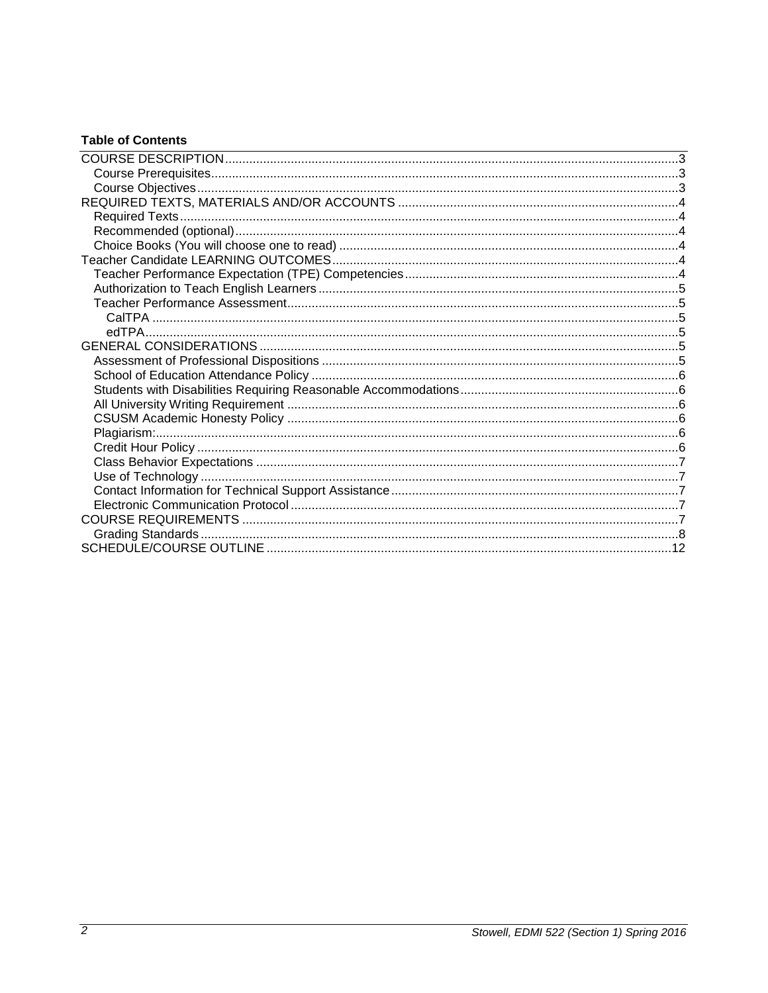## **Table of Contents**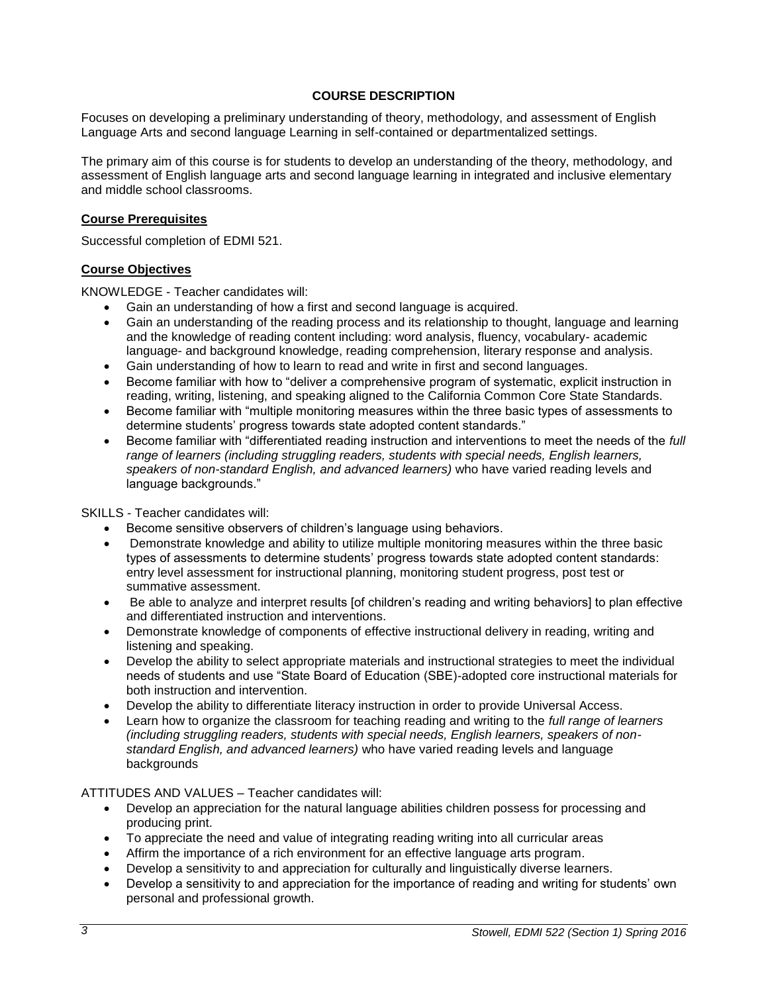## **COURSE DESCRIPTION**

<span id="page-2-0"></span>Focuses on developing a preliminary understanding of theory, methodology, and assessment of English Language Arts and second language Learning in self-contained or departmentalized settings.

The primary aim of this course is for students to develop an understanding of the theory, methodology, and assessment of English language arts and second language learning in integrated and inclusive elementary and middle school classrooms.

#### <span id="page-2-1"></span>**Course Prerequisites**

Successful completion of EDMI 521.

#### <span id="page-2-2"></span>**Course Objectives**

KNOWLEDGE - Teacher candidates will:

- Gain an understanding of how a first and second language is acquired.
- Gain an understanding of the reading process and its relationship to thought, language and learning and the knowledge of reading content including: word analysis, fluency, vocabulary- academic language- and background knowledge, reading comprehension, literary response and analysis.
- Gain understanding of how to learn to read and write in first and second languages.
- Become familiar with how to "deliver a comprehensive program of systematic, explicit instruction in reading, writing, listening, and speaking aligned to the California Common Core State Standards.
- Become familiar with "multiple monitoring measures within the three basic types of assessments to determine students' progress towards state adopted content standards."
- Become familiar with "differentiated reading instruction and interventions to meet the needs of the *full range of learners (including struggling readers, students with special needs, English learners, speakers of non-standard English, and advanced learners)* who have varied reading levels and language backgrounds."

SKILLS - Teacher candidates will:

- Become sensitive observers of children's language using behaviors.
- Demonstrate knowledge and ability to utilize multiple monitoring measures within the three basic types of assessments to determine students' progress towards state adopted content standards: entry level assessment for instructional planning, monitoring student progress, post test or summative assessment.
- Be able to analyze and interpret results [of children's reading and writing behaviors] to plan effective and differentiated instruction and interventions.
- Demonstrate knowledge of components of effective instructional delivery in reading, writing and listening and speaking.
- Develop the ability to select appropriate materials and instructional strategies to meet the individual needs of students and use "State Board of Education (SBE)-adopted core instructional materials for both instruction and intervention.
- Develop the ability to differentiate literacy instruction in order to provide Universal Access.
- Learn how to organize the classroom for teaching reading and writing to the *full range of learners (including struggling readers, students with special needs, English learners, speakers of nonstandard English, and advanced learners)* who have varied reading levels and language backgrounds

## ATTITUDES AND VALUES – Teacher candidates will:

- Develop an appreciation for the natural language abilities children possess for processing and producing print.
- To appreciate the need and value of integrating reading writing into all curricular areas
- Affirm the importance of a rich environment for an effective language arts program.
- Develop a sensitivity to and appreciation for culturally and linguistically diverse learners.
- Develop a sensitivity to and appreciation for the importance of reading and writing for students' own personal and professional growth.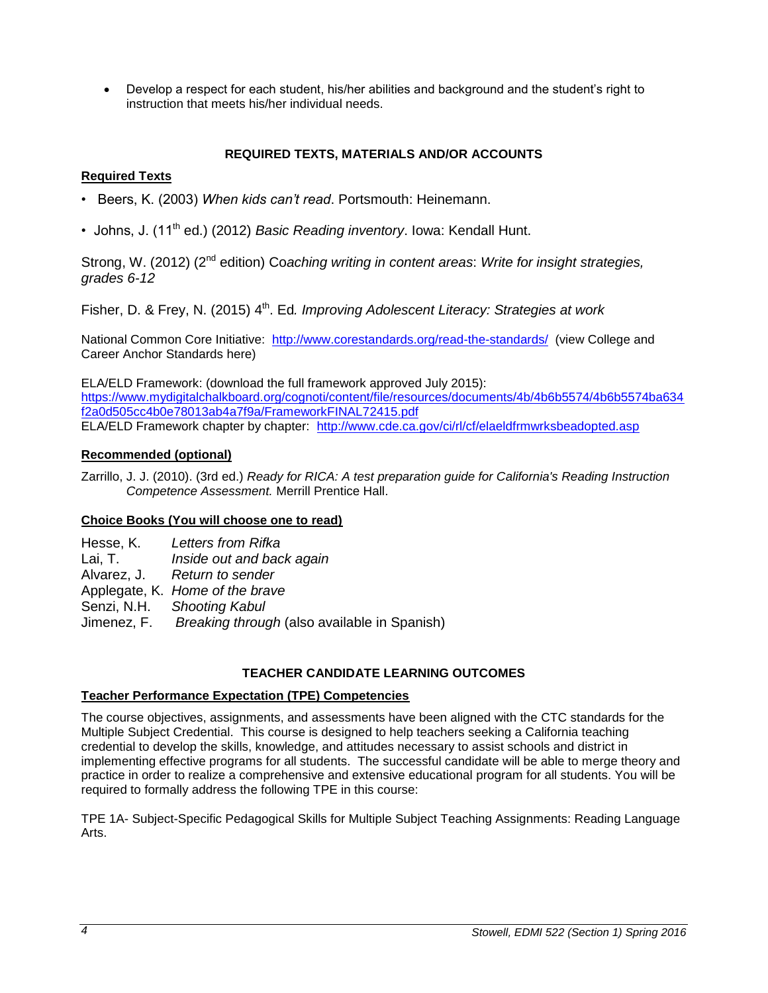Develop a respect for each student, his/her abilities and background and the student's right to instruction that meets his/her individual needs.

## **REQUIRED TEXTS, MATERIALS AND/OR ACCOUNTS**

## <span id="page-3-1"></span><span id="page-3-0"></span>**Required Texts**

- Beers, K. (2003) *When kids can't read*. Portsmouth: Heinemann.
- Johns, J. (11<sup>th</sup> ed.) (2012) *Basic Reading inventory*. Iowa: Kendall Hunt.

Strong, W. (2012) (2nd edition) Co*aching writing in content areas*: *Write for insight strategies, grades 6-12*

Fisher, D. & Frey, N. (2015) 4<sup>th</sup>. Ed. Improving Adolescent Literacy: Strategies at work

National Common Core Initiative: <http://www.corestandards.org/read-the-standards/>(view College and Career Anchor Standards here)

ELA/ELD Framework: (download the full framework approved July 2015): [https://www.mydigitalchalkboard.org/cognoti/content/file/resources/documents/4b/4b6b5574/4b6b5574ba634](https://www.mydigitalchalkboard.org/cognoti/content/file/resources/documents/4b/4b6b5574/4b6b5574ba634f2a0d505cc4b0e78013ab4a7f9a/FrameworkFINAL72415.pdf) [f2a0d505cc4b0e78013ab4a7f9a/FrameworkFINAL72415.pdf](https://www.mydigitalchalkboard.org/cognoti/content/file/resources/documents/4b/4b6b5574/4b6b5574ba634f2a0d505cc4b0e78013ab4a7f9a/FrameworkFINAL72415.pdf) ELA/ELD Framework chapter by chapter: <http://www.cde.ca.gov/ci/rl/cf/elaeldfrmwrksbeadopted.asp>

## <span id="page-3-2"></span>**Recommended (optional)**

Zarrillo, J. J. (2010). (3rd ed.) *Ready for RICA: A test preparation guide for California's Reading Instruction Competence Assessment.* Merrill Prentice Hall.

## <span id="page-3-3"></span>**Choice Books (You will choose one to read)**

Hesse, K. *Letters from Rifka* Lai, T. *Inside out and back again* Alvarez, J. *Return to sender* Applegate, K. *Home of the brave* Senzi, N.H. *Shooting Kabul* Jimenez, F. *Breaking through* (also available in Spanish)

## **TEACHER CANDIDATE LEARNING OUTCOMES**

## <span id="page-3-5"></span><span id="page-3-4"></span>**Teacher Performance Expectation (TPE) Competencies**

The course objectives, assignments, and assessments have been aligned with the CTC standards for the Multiple Subject Credential. This course is designed to help teachers seeking a California teaching credential to develop the skills, knowledge, and attitudes necessary to assist schools and district in implementing effective programs for all students. The successful candidate will be able to merge theory and practice in order to realize a comprehensive and extensive educational program for all students. You will be required to formally address the following TPE in this course:

TPE 1A- Subject-Specific Pedagogical Skills for Multiple Subject Teaching Assignments: Reading Language Arts.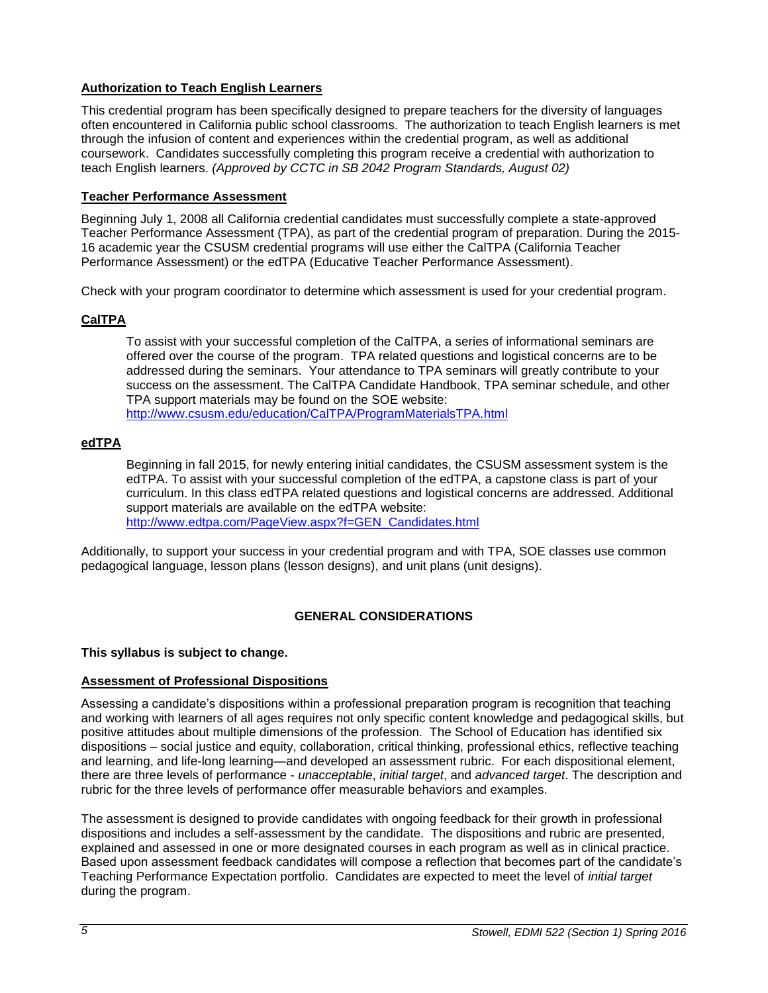## <span id="page-4-0"></span>**Authorization to Teach English Learners**

This credential program has been specifically designed to prepare teachers for the diversity of languages often encountered in California public school classrooms. The authorization to teach English learners is met through the infusion of content and experiences within the credential program, as well as additional coursework. Candidates successfully completing this program receive a credential with authorization to teach English learners. *(Approved by CCTC in SB 2042 Program Standards, August 02)*

## <span id="page-4-1"></span>**Teacher Performance Assessment**

Beginning July 1, 2008 all California credential candidates must successfully complete a state-approved Teacher Performance Assessment (TPA), as part of the credential program of preparation. During the 2015- 16 academic year the CSUSM credential programs will use either the CalTPA (California Teacher Performance Assessment) or the edTPA (Educative Teacher Performance Assessment).

Check with your program coordinator to determine which assessment is used for your credential program.

## <span id="page-4-2"></span>**CalTPA**

To assist with your successful completion of the CalTPA, a series of informational seminars are offered over the course of the program. TPA related questions and logistical concerns are to be addressed during the seminars. Your attendance to TPA seminars will greatly contribute to your success on the assessment. The CalTPA Candidate Handbook, TPA seminar schedule, and other TPA support materials may be found on the SOE website: <http://www.csusm.edu/education/CalTPA/ProgramMaterialsTPA.html>

## <span id="page-4-3"></span>**edTPA**

Beginning in fall 2015, for newly entering initial candidates, the CSUSM assessment system is the edTPA. To assist with your successful completion of the edTPA, a capstone class is part of your curriculum. In this class edTPA related questions and logistical concerns are addressed. Additional support materials are available on the edTPA website: [http://www.edtpa.com/PageView.aspx?f=GEN\\_Candidates.html](http://www.edtpa.com/PageView.aspx?f=GEN_Candidates.html)

Additionally, to support your success in your credential program and with TPA, SOE classes use common pedagogical language, lesson plans (lesson designs), and unit plans (unit designs).

## **GENERAL CONSIDERATIONS**

## <span id="page-4-4"></span>**This syllabus is subject to change.**

## <span id="page-4-5"></span>**Assessment of Professional Dispositions**

Assessing a candidate's dispositions within a professional preparation program is recognition that teaching and working with learners of all ages requires not only specific content knowledge and pedagogical skills, but positive attitudes about multiple dimensions of the profession. The School of Education has identified six dispositions – social justice and equity, collaboration, critical thinking, professional ethics, reflective teaching and learning, and life-long learning—and developed an assessment rubric. For each dispositional element, there are three levels of performance - *unacceptable*, *initial target*, and *advanced target*. The description and rubric for the three levels of performance offer measurable behaviors and examples.

The assessment is designed to provide candidates with ongoing feedback for their growth in professional dispositions and includes a self-assessment by the candidate. The dispositions and rubric are presented, explained and assessed in one or more designated courses in each program as well as in clinical practice. Based upon assessment feedback candidates will compose a reflection that becomes part of the candidate's Teaching Performance Expectation portfolio. Candidates are expected to meet the level of *initial target* during the program.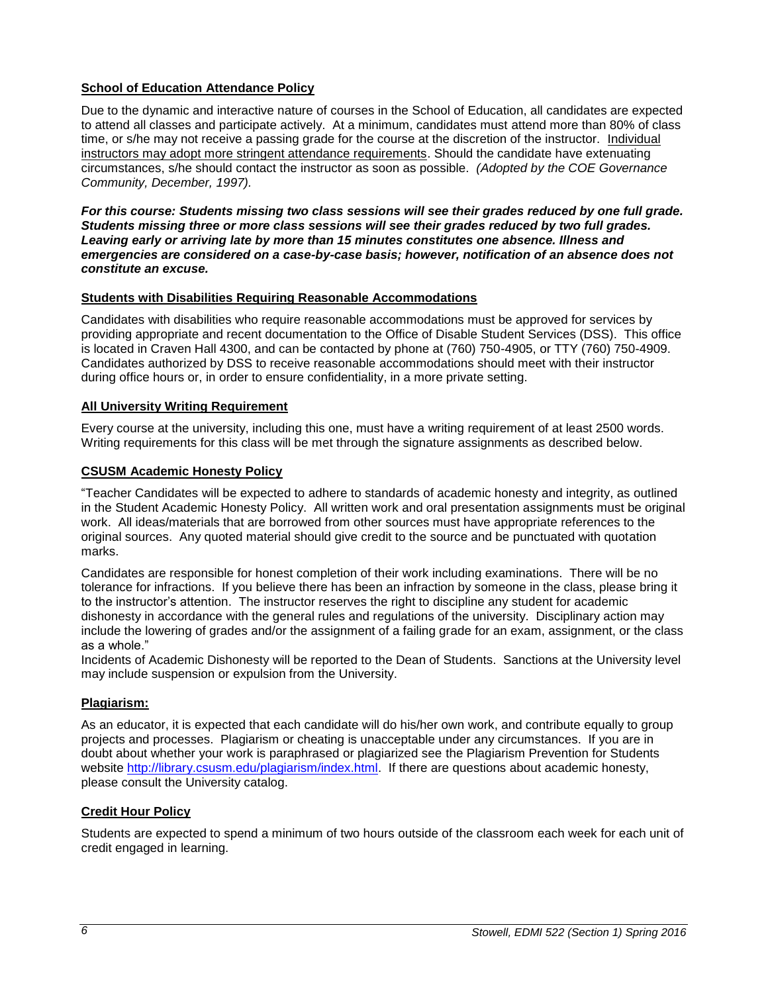## <span id="page-5-0"></span>**School of Education Attendance Policy**

Due to the dynamic and interactive nature of courses in the School of Education, all candidates are expected to attend all classes and participate actively. At a minimum, candidates must attend more than 80% of class time, or s/he may not receive a passing grade for the course at the discretion of the instructor. Individual instructors may adopt more stringent attendance requirements. Should the candidate have extenuating circumstances, s/he should contact the instructor as soon as possible. *(Adopted by the COE Governance Community, December, 1997).*

*For this course: Students missing two class sessions will see their grades reduced by one full grade. Students missing three or more class sessions will see their grades reduced by two full grades. Leaving early or arriving late by more than 15 minutes constitutes one absence. Illness and emergencies are considered on a case-by-case basis; however, notification of an absence does not constitute an excuse.* 

#### <span id="page-5-1"></span>**Students with Disabilities Requiring Reasonable Accommodations**

Candidates with disabilities who require reasonable accommodations must be approved for services by providing appropriate and recent documentation to the Office of Disable Student Services (DSS). This office is located in Craven Hall 4300, and can be contacted by phone at (760) 750-4905, or TTY (760) 750-4909. Candidates authorized by DSS to receive reasonable accommodations should meet with their instructor during office hours or, in order to ensure confidentiality, in a more private setting.

#### <span id="page-5-2"></span>**All University Writing Requirement**

Every course at the university, including this one, must have a writing requirement of at least 2500 words. Writing requirements for this class will be met through the signature assignments as described below.

#### <span id="page-5-3"></span>**CSUSM Academic Honesty Policy**

"Teacher Candidates will be expected to adhere to standards of academic honesty and integrity, as outlined in the Student Academic Honesty Policy. All written work and oral presentation assignments must be original work. All ideas/materials that are borrowed from other sources must have appropriate references to the original sources. Any quoted material should give credit to the source and be punctuated with quotation marks.

Candidates are responsible for honest completion of their work including examinations. There will be no tolerance for infractions. If you believe there has been an infraction by someone in the class, please bring it to the instructor's attention. The instructor reserves the right to discipline any student for academic dishonesty in accordance with the general rules and regulations of the university. Disciplinary action may include the lowering of grades and/or the assignment of a failing grade for an exam, assignment, or the class as a whole."

Incidents of Academic Dishonesty will be reported to the Dean of Students. Sanctions at the University level may include suspension or expulsion from the University.

#### <span id="page-5-4"></span>**Plagiarism:**

As an educator, it is expected that each candidate will do his/her own work, and contribute equally to group projects and processes. Plagiarism or cheating is unacceptable under any circumstances. If you are in doubt about whether your work is paraphrased or plagiarized see the Plagiarism Prevention for Students website [http://library.csusm.edu/plagiarism/index.html.](http://library.csusm.edu/plagiarism/index.html) If there are questions about academic honesty, please consult the University catalog.

## <span id="page-5-5"></span>**Credit Hour Policy**

<span id="page-5-6"></span>Students are expected to spend a minimum of two hours outside of the classroom each week for each unit of credit engaged in learning.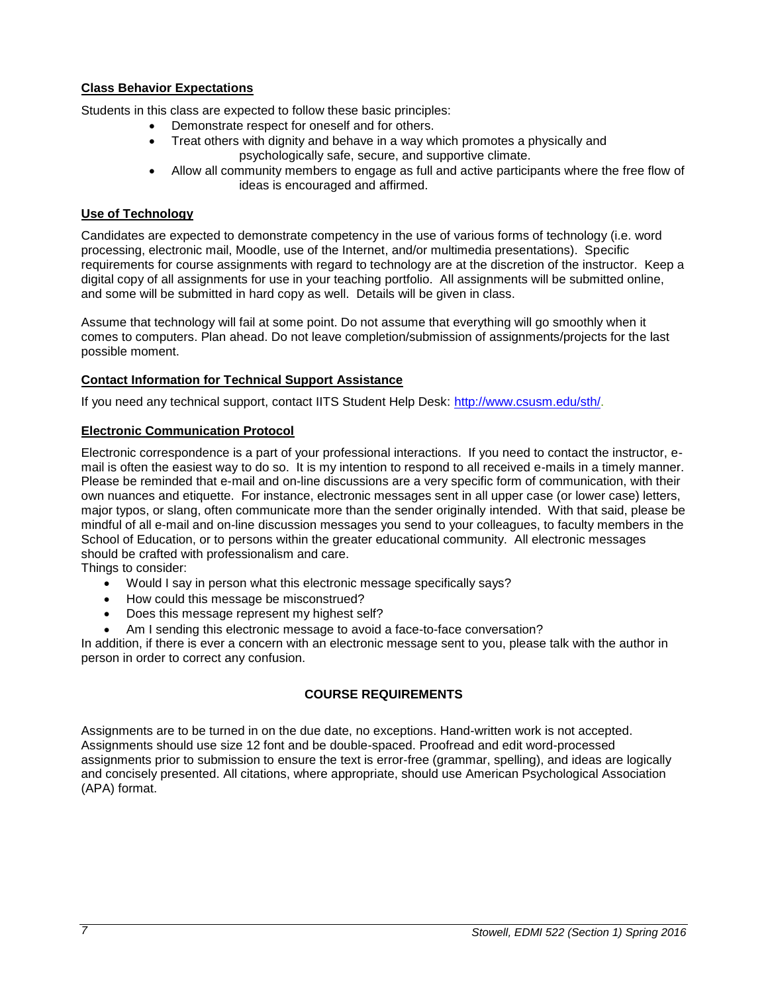## **Class Behavior Expectations**

Students in this class are expected to follow these basic principles:

- Demonstrate respect for oneself and for others.
- Treat others with dignity and behave in a way which promotes a physically and psychologically safe, secure, and supportive climate.
- Allow all community members to engage as full and active participants where the free flow of ideas is encouraged and affirmed.

## <span id="page-6-0"></span>**Use of Technology**

Candidates are expected to demonstrate competency in the use of various forms of technology (i.e. word processing, electronic mail, Moodle, use of the Internet, and/or multimedia presentations). Specific requirements for course assignments with regard to technology are at the discretion of the instructor. Keep a digital copy of all assignments for use in your teaching portfolio. All assignments will be submitted online, and some will be submitted in hard copy as well. Details will be given in class.

Assume that technology will fail at some point. Do not assume that everything will go smoothly when it comes to computers. Plan ahead. Do not leave completion/submission of assignments/projects for the last possible moment.

## <span id="page-6-1"></span>**Contact Information for Technical Support Assistance**

If you need any technical support, contact IITS Student Help Desk: [http://www.csusm.edu/sth/.](http://www.csusm.edu/sth/)

## <span id="page-6-2"></span>**Electronic Communication Protocol**

Electronic correspondence is a part of your professional interactions. If you need to contact the instructor, email is often the easiest way to do so. It is my intention to respond to all received e-mails in a timely manner. Please be reminded that e-mail and on-line discussions are a very specific form of communication, with their own nuances and etiquette. For instance, electronic messages sent in all upper case (or lower case) letters, major typos, or slang, often communicate more than the sender originally intended. With that said, please be mindful of all e-mail and on-line discussion messages you send to your colleagues, to faculty members in the School of Education, or to persons within the greater educational community. All electronic messages should be crafted with professionalism and care.

Things to consider:

- Would I say in person what this electronic message specifically says?
- How could this message be misconstrued?
- Does this message represent my highest self?
- Am I sending this electronic message to avoid a face-to-face conversation?

<span id="page-6-3"></span>In addition, if there is ever a concern with an electronic message sent to you, please talk with the author in person in order to correct any confusion.

## **COURSE REQUIREMENTS**

Assignments are to be turned in on the due date, no exceptions. Hand-written work is not accepted. Assignments should use size 12 font and be double-spaced. Proofread and edit word-processed assignments prior to submission to ensure the text is error-free (grammar, spelling), and ideas are logically and concisely presented. All citations, where appropriate, should use American Psychological Association (APA) format.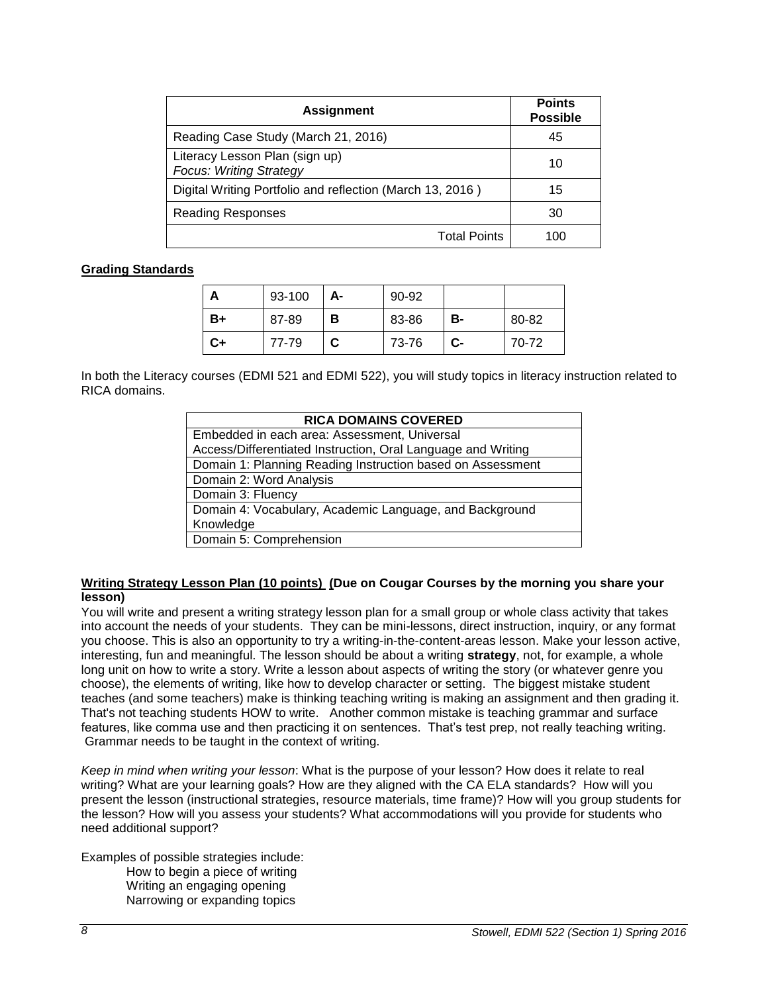| <b>Assignment</b>                                                | <b>Points</b><br><b>Possible</b> |
|------------------------------------------------------------------|----------------------------------|
| Reading Case Study (March 21, 2016)                              | 45                               |
| Literacy Lesson Plan (sign up)<br><b>Focus: Writing Strategy</b> | 10                               |
| Digital Writing Portfolio and reflection (March 13, 2016)        | 15                               |
| <b>Reading Responses</b>                                         | 30                               |
| <b>Total Points</b>                                              | 100                              |

## <span id="page-7-0"></span>**Grading Standards**

| Α  | 93-100 | А- | 90-92 |      |       |
|----|--------|----|-------|------|-------|
| B+ | 87-89  | в  | 83-86 | в-   | 80-82 |
| C+ | 77-79  | C  | 73-76 | $c-$ | 70-72 |

In both the Literacy courses (EDMI 521 and EDMI 522), you will study topics in literacy instruction related to RICA domains.

| <b>RICA DOMAINS COVERED</b>                                  |  |  |
|--------------------------------------------------------------|--|--|
| Embedded in each area: Assessment, Universal                 |  |  |
| Access/Differentiated Instruction, Oral Language and Writing |  |  |
| Domain 1: Planning Reading Instruction based on Assessment   |  |  |
| Domain 2: Word Analysis                                      |  |  |
| Domain 3: Fluency                                            |  |  |
| Domain 4: Vocabulary, Academic Language, and Background      |  |  |
| Knowledge                                                    |  |  |
| Domain 5: Comprehension                                      |  |  |

#### **Writing Strategy Lesson Plan (10 points) (Due on Cougar Courses by the morning you share your lesson)**

You will write and present a writing strategy lesson plan for a small group or whole class activity that takes into account the needs of your students. They can be mini-lessons, direct instruction, inquiry, or any format you choose. This is also an opportunity to try a writing-in-the-content-areas lesson. Make your lesson active, interesting, fun and meaningful. The lesson should be about a writing **strategy**, not, for example, a whole long unit on how to write a story. Write a lesson about aspects of writing the story (or whatever genre you choose), the elements of writing, like how to develop character or setting. The biggest mistake student teaches (and some teachers) make is thinking teaching writing is making an assignment and then grading it. That's not teaching students HOW to write. Another common mistake is teaching grammar and surface features, like comma use and then practicing it on sentences. That's test prep, not really teaching writing. Grammar needs to be taught in the context of writing.

*Keep in mind when writing your lesson*: What is the purpose of your lesson? How does it relate to real writing? What are your learning goals? How are they aligned with the CA ELA standards? How will you present the lesson (instructional strategies, resource materials, time frame)? How will you group students for the lesson? How will you assess your students? What accommodations will you provide for students who need additional support?

Examples of possible strategies include:

How to begin a piece of writing Writing an engaging opening Narrowing or expanding topics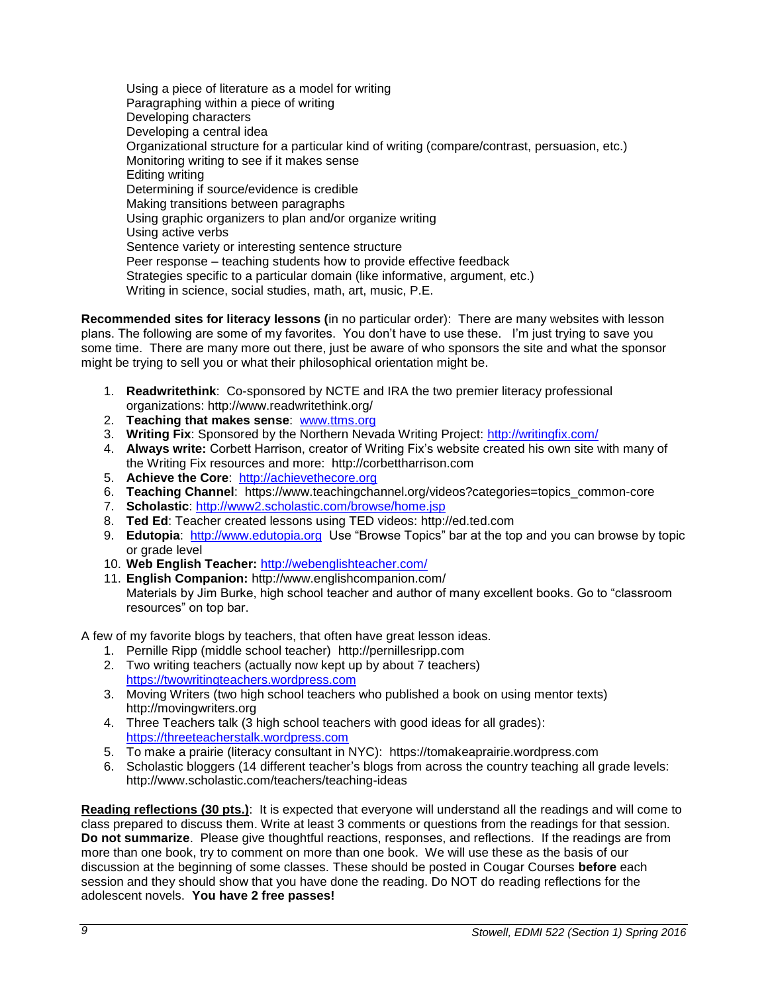Using a piece of literature as a model for writing Paragraphing within a piece of writing Developing characters Developing a central idea Organizational structure for a particular kind of writing (compare/contrast, persuasion, etc.) Monitoring writing to see if it makes sense Editing writing Determining if source/evidence is credible Making transitions between paragraphs Using graphic organizers to plan and/or organize writing Using active verbs Sentence variety or interesting sentence structure Peer response – teaching students how to provide effective feedback Strategies specific to a particular domain (like informative, argument, etc.) Writing in science, social studies, math, art, music, P.E.

**Recommended sites for literacy lessons (**in no particular order): There are many websites with lesson plans. The following are some of my favorites. You don't have to use these. I'm just trying to save you some time. There are many more out there, just be aware of who sponsors the site and what the sponsor might be trying to sell you or what their philosophical orientation might be.

- 1. **Readwritethink**: Co-sponsored by NCTE and IRA the two premier literacy professional organizations: http://www.readwritethink.org/
- 2. **Teaching that makes sense**: [www.ttms.org](http://www.ttms.org/)
- 3. **Writing Fix**: Sponsored by the Northern Nevada Writing Project:<http://writingfix.com/>
- 4. **Always write:** Corbett Harrison, creator of Writing Fix's website created his own site with many of the Writing Fix resources and more: http://corbettharrison.com
- 5. **Achieve the Core**: [http://achievethecore.org](http://achievethecore.org/)
- 6. **Teaching Channel**: https://www.teachingchannel.org/videos?categories=topics\_common-core
- 7. **Scholastic**:<http://www2.scholastic.com/browse/home.jsp>
- 8. **Ted Ed**: Teacher created lessons using TED videos: http://ed.ted.com
- 9. **Edutopia**: [http://www.edutopia.org](http://www.edutopia.org/) Use "Browse Topics" bar at the top and you can browse by topic or grade level
- 10. **Web English Teacher:** <http://webenglishteacher.com/>
- 11. **English Companion:** http://www.englishcompanion.com/ Materials by Jim Burke, high school teacher and author of many excellent books. Go to "classroom resources" on top bar.

A few of my favorite blogs by teachers, that often have great lesson ideas.

- 1. Pernille Ripp (middle school teacher) http://pernillesripp.com
- 2. Two writing teachers (actually now kept up by about 7 teachers) [https://twowritingteachers.wordpress.com](https://twowritingteachers.wordpress.com/)
- 3. Moving Writers (two high school teachers who published a book on using mentor texts) http://movingwriters.org
- 4. Three Teachers talk (3 high school teachers with good ideas for all grades): [https://threeteacherstalk.wordpress.com](https://threeteacherstalk.wordpress.com/)
- 5. To make a prairie (literacy consultant in NYC): https://tomakeaprairie.wordpress.com
- 6. Scholastic bloggers (14 different teacher's blogs from across the country teaching all grade levels: http://www.scholastic.com/teachers/teaching-ideas

**Reading reflections (30 pts.)**: It is expected that everyone will understand all the readings and will come to class prepared to discuss them. Write at least 3 comments or questions from the readings for that session. **Do not summarize**. Please give thoughtful reactions, responses, and reflections. If the readings are from more than one book, try to comment on more than one book. We will use these as the basis of our discussion at the beginning of some classes. These should be posted in Cougar Courses **before** each session and they should show that you have done the reading. Do NOT do reading reflections for the adolescent novels. **You have 2 free passes!**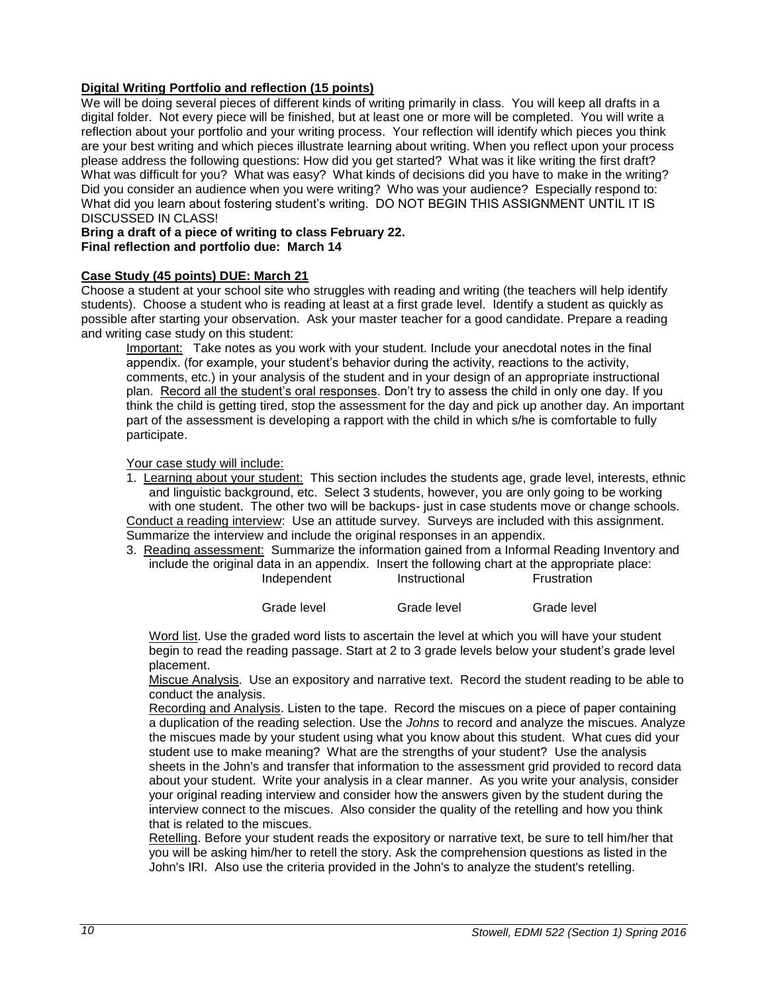## **Digital Writing Portfolio and reflection (15 points)**

We will be doing several pieces of different kinds of writing primarily in class. You will keep all drafts in a digital folder. Not every piece will be finished, but at least one or more will be completed. You will write a reflection about your portfolio and your writing process. Your reflection will identify which pieces you think are your best writing and which pieces illustrate learning about writing. When you reflect upon your process please address the following questions: How did you get started? What was it like writing the first draft? What was difficult for you? What was easy? What kinds of decisions did you have to make in the writing? Did you consider an audience when you were writing? Who was your audience? Especially respond to: What did you learn about fostering student's writing. DO NOT BEGIN THIS ASSIGNMENT UNTIL IT IS DISCUSSED IN CLASS!

#### **Bring a draft of a piece of writing to class February 22. Final reflection and portfolio due: March 14**

## **Case Study (45 points) DUE: March 21**

Choose a student at your school site who struggles with reading and writing (the teachers will help identify students). Choose a student who is reading at least at a first grade level. Identify a student as quickly as possible after starting your observation. Ask your master teacher for a good candidate. Prepare a reading and writing case study on this student:

Important: Take notes as you work with your student. Include your anecdotal notes in the final appendix. (for example, your student's behavior during the activity, reactions to the activity, comments, etc.) in your analysis of the student and in your design of an appropriate instructional plan. Record all the student's oral responses. Don't try to assess the child in only one day. If you think the child is getting tired, stop the assessment for the day and pick up another day. An important part of the assessment is developing a rapport with the child in which s/he is comfortable to fully participate.

#### Your case study will include:

1. Learning about your student: This section includes the students age, grade level, interests, ethnic and linguistic background, etc. Select 3 students, however, you are only going to be working with one student. The other two will be backups- just in case students move or change schools. Conduct a reading interview: Use an attitude survey. Surveys are included with this assignment. Summarize the interview and include the original responses in an appendix.

3. Reading assessment: Summarize the information gained from a Informal Reading Inventory and include the original data in an appendix. Insert the following chart at the appropriate place: Independent Instructional

| Grade level | Grade level | Grade level |
|-------------|-------------|-------------|

Word list. Use the graded word lists to ascertain the level at which you will have your student begin to read the reading passage. Start at 2 to 3 grade levels below your student's grade level placement.

Miscue Analysis. Use an expository and narrative text. Record the student reading to be able to conduct the analysis.

Recording and Analysis. Listen to the tape. Record the miscues on a piece of paper containing a duplication of the reading selection. Use the *Johns* to record and analyze the miscues. Analyze the miscues made by your student using what you know about this student. What cues did your student use to make meaning? What are the strengths of your student? Use the analysis sheets in the John's and transfer that information to the assessment grid provided to record data about your student. Write your analysis in a clear manner. As you write your analysis, consider your original reading interview and consider how the answers given by the student during the interview connect to the miscues. Also consider the quality of the retelling and how you think that is related to the miscues.

Retelling. Before your student reads the expository or narrative text, be sure to tell him/her that you will be asking him/her to retell the story. Ask the comprehension questions as listed in the John's IRI. Also use the criteria provided in the John's to analyze the student's retelling.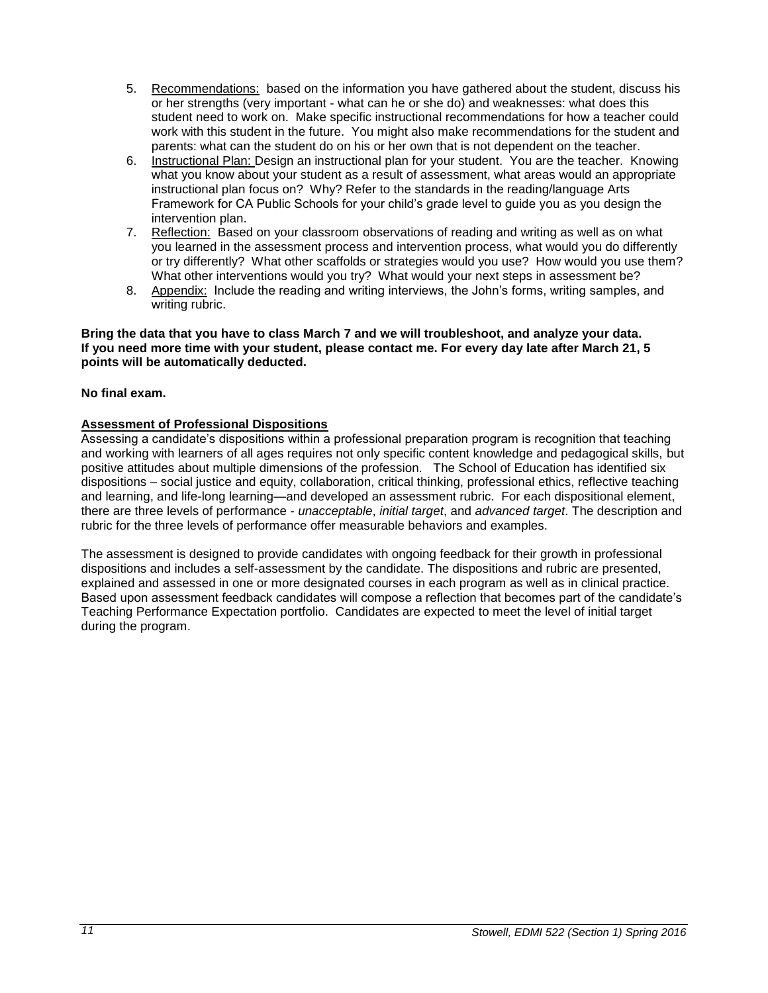- 5. Recommendations: based on the information you have gathered about the student, discuss his or her strengths (very important - what can he or she do) and weaknesses: what does this student need to work on. Make specific instructional recommendations for how a teacher could work with this student in the future. You might also make recommendations for the student and parents: what can the student do on his or her own that is not dependent on the teacher.
- 6. Instructional Plan: Design an instructional plan for your student. You are the teacher. Knowing what you know about your student as a result of assessment, what areas would an appropriate instructional plan focus on? Why? Refer to the standards in the reading/language Arts Framework for CA Public Schools for your child's grade level to guide you as you design the intervention plan.
- 7. Reflection: Based on your classroom observations of reading and writing as well as on what you learned in the assessment process and intervention process, what would you do differently or try differently? What other scaffolds or strategies would you use? How would you use them? What other interventions would you try? What would your next steps in assessment be?
- 8. Appendix: Include the reading and writing interviews, the John's forms, writing samples, and writing rubric.

#### **Bring the data that you have to class March 7 and we will troubleshoot, and analyze your data. If you need more time with your student, please contact me. For every day late after March 21, 5 points will be automatically deducted.**

## **No final exam.**

## **Assessment of Professional Dispositions**

Assessing a candidate's dispositions within a professional preparation program is recognition that teaching and working with learners of all ages requires not only specific content knowledge and pedagogical skills, but positive attitudes about multiple dimensions of the profession. The School of Education has identified six dispositions – social justice and equity, collaboration, critical thinking, professional ethics, reflective teaching and learning, and life-long learning—and developed an assessment rubric. For each dispositional element, there are three levels of performance - *unacceptable*, *initial target*, and *advanced target*. The description and rubric for the three levels of performance offer measurable behaviors and examples.

The assessment is designed to provide candidates with ongoing feedback for their growth in professional dispositions and includes a self-assessment by the candidate. The dispositions and rubric are presented, explained and assessed in one or more designated courses in each program as well as in clinical practice. Based upon assessment feedback candidates will compose a reflection that becomes part of the candidate's Teaching Performance Expectation portfolio. Candidates are expected to meet the level of initial target during the program.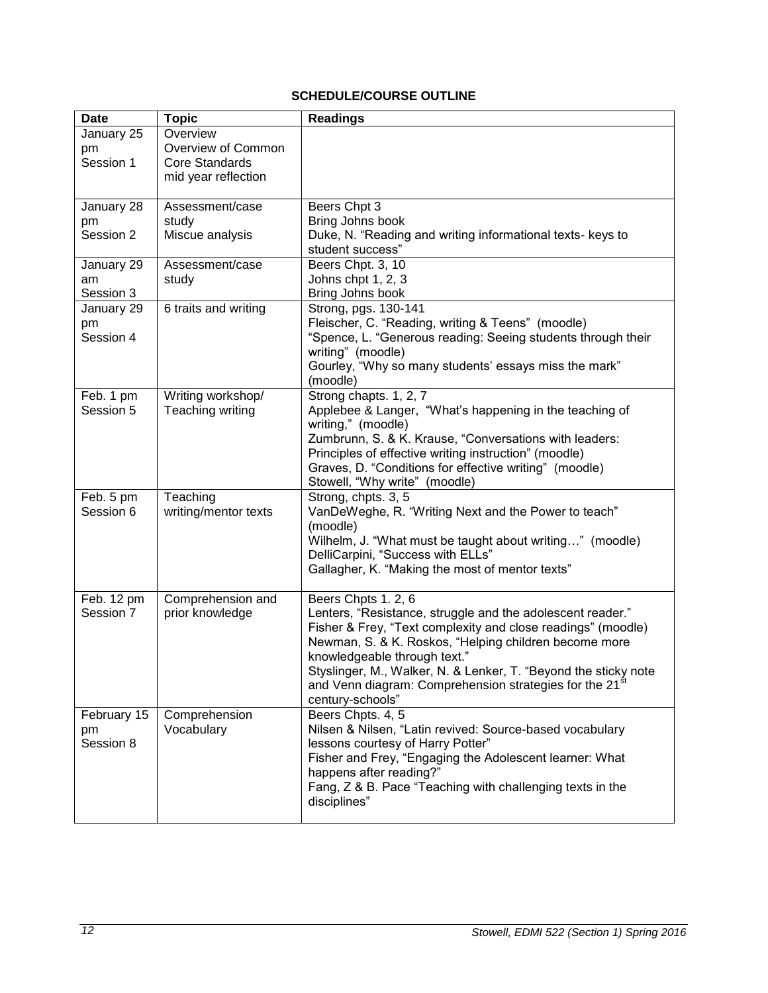# **SCHEDULE/COURSE OUTLINE**

<span id="page-11-0"></span>

| <b>Date</b>            | <b>Topic</b>                          | <b>Readings</b>                                                                                                                        |
|------------------------|---------------------------------------|----------------------------------------------------------------------------------------------------------------------------------------|
| January 25             | Overview                              |                                                                                                                                        |
| pm                     | Overview of Common                    |                                                                                                                                        |
| Session 1              | <b>Core Standards</b>                 |                                                                                                                                        |
|                        | mid year reflection                   |                                                                                                                                        |
| January 28             | Assessment/case                       | Beers Chpt 3                                                                                                                           |
| pm                     | study                                 | Bring Johns book                                                                                                                       |
| Session 2              | Miscue analysis                       | Duke, N. "Reading and writing informational texts- keys to<br>student success"                                                         |
| January 29             | Assessment/case                       | Beers Chpt. 3, 10                                                                                                                      |
| am                     | study                                 | Johns chpt 1, 2, 3                                                                                                                     |
| Session 3              |                                       | Bring Johns book                                                                                                                       |
| January 29             | 6 traits and writing                  | Strong, pgs. 130-141                                                                                                                   |
| pm                     |                                       | Fleischer, C. "Reading, writing & Teens" (moodle)                                                                                      |
| Session 4              |                                       | "Spence, L. "Generous reading: Seeing students through their                                                                           |
|                        |                                       | writing" (moodle)                                                                                                                      |
|                        |                                       | Gourley, "Why so many students' essays miss the mark"                                                                                  |
|                        |                                       | (moodle)                                                                                                                               |
| Feb. 1 pm<br>Session 5 | Writing workshop/<br>Teaching writing | Strong chapts. 1, 2, 7<br>Applebee & Langer, "What's happening in the teaching of                                                      |
|                        |                                       | writing," (moodle)                                                                                                                     |
|                        |                                       | Zumbrunn, S. & K. Krause, "Conversations with leaders:                                                                                 |
|                        |                                       | Principles of effective writing instruction" (moodle)                                                                                  |
|                        |                                       | Graves, D. "Conditions for effective writing" (moodle)                                                                                 |
|                        |                                       | Stowell, "Why write" (moodle)                                                                                                          |
| Feb. 5 pm              | Teaching                              | Strong, chpts. 3, 5                                                                                                                    |
| Session 6              | writing/mentor texts                  | VanDeWeghe, R. "Writing Next and the Power to teach"                                                                                   |
|                        |                                       | (moodle)                                                                                                                               |
|                        |                                       | Wilhelm, J. "What must be taught about writing" (moodle)                                                                               |
|                        |                                       | DelliCarpini, "Success with ELLs"                                                                                                      |
|                        |                                       | Gallagher, K. "Making the most of mentor texts"                                                                                        |
| Feb. 12 pm             | Comprehension and                     | Beers Chpts 1.2, 6                                                                                                                     |
| Session 7              | prior knowledge                       | Lenters, "Resistance, struggle and the adolescent reader."                                                                             |
|                        |                                       | Fisher & Frey, "Text complexity and close readings" (moodle)                                                                           |
|                        |                                       | Newman, S. & K. Roskos, "Helping children become more                                                                                  |
|                        |                                       | knowledgeable through text."                                                                                                           |
|                        |                                       | Styslinger, M., Walker, N. & Lenker, T. "Beyond the sticky note<br>and Venn diagram: Comprehension strategies for the 21 <sup>st</sup> |
|                        |                                       | century-schools"                                                                                                                       |
| February 15            | Comprehension                         | Beers Chpts. 4, 5                                                                                                                      |
| pm                     | Vocabulary                            | Nilsen & Nilsen, "Latin revived: Source-based vocabulary                                                                               |
| Session 8              |                                       | lessons courtesy of Harry Potter"                                                                                                      |
|                        |                                       | Fisher and Frey, "Engaging the Adolescent learner: What                                                                                |
|                        |                                       | happens after reading?"                                                                                                                |
|                        |                                       | Fang, Z & B. Pace "Teaching with challenging texts in the                                                                              |
|                        |                                       | disciplines"                                                                                                                           |